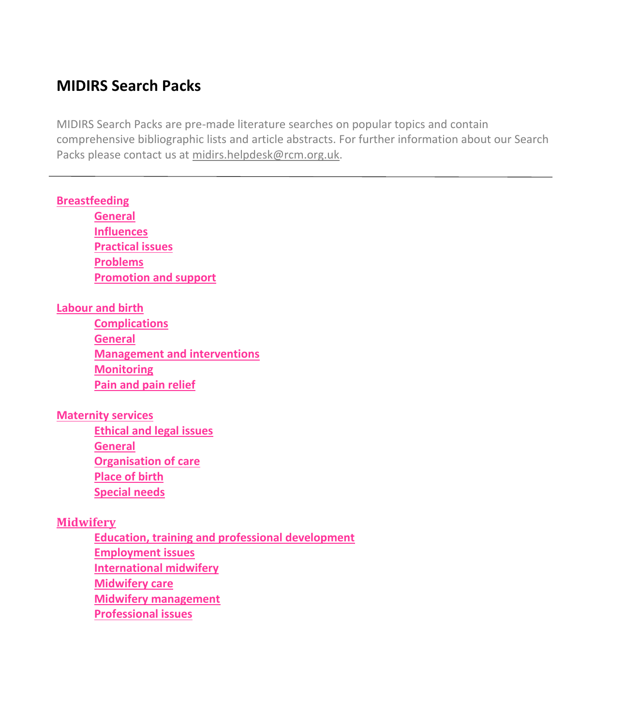# <span id="page-0-0"></span>**MIDIRS Search Packs**

MIDIRS Search Packs are pre-made literature searches on popular topics and contain comprehensive bibliographic lists and article abstracts. For further information about our Search Packs please contact us at [midirs.helpdesk@rcm.org.uk.](mailto:midirs.helpdesk@rcm.org.uk)

#### **[Breastfeeding](#page-2-0)**

**[General](#page-2-1) [Influences](#page-2-2) [Practical issues](#page-2-3) [Problems](#page-3-0) [Promotion and support](#page-3-1)**

### **[Labour and birth](#page-4-0)**

**[Complications](#page-4-1) [General](#page-4-2) [Management and interventions](#page-5-0) [Monitoring](#page-5-1) [Pain and pain relief](#page-5-2)**

#### **[Maternity services](#page-6-0)**

**[Ethical and legal issues](#page-7-0) [General](#page-7-1) [Organisation of care](#page-7-2) [Place of birth](#page-8-0) [Special needs](#page-8-1)**

#### **[Midwifery](#page-9-0)**

**[Education, training and professional development](#page-10-0) [Employment issues](#page-10-1) [International midwifery](#page-11-0) [Midwifery care](#page-11-1) [Midwifery management](#page-12-0) [Professional issues](#page-12-1)**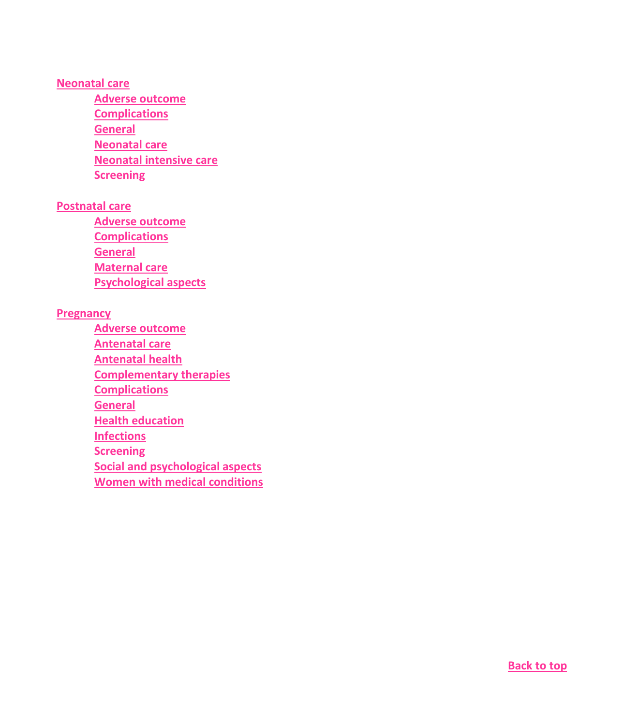#### **[Neonatal care](#page-12-2)**

**[Adverse outcome](#page-13-0) [Complications](#page-13-1) [General](#page-14-0) [Neonatal care](#page-14-1) [Neonatal intensive care](#page-15-0) [Screening](#page-15-1)**

#### **[Postnatal care](#page-16-0)**

**[Adverse outcome](#page-17-0) [Complications](#page-17-1) [General](#page-17-2) [Maternal care](#page-17-3) [Psychological aspects](#page-18-0)**

### **[Pregnancy](#page-18-1)**

**[Adverse outcome](#page-19-0) [Antenatal care](#page-19-1) [Antenatal health](#page-19-2) [Complementary therapies](#page-20-0) [Complications](#page-20-1) [General](#page-22-0) [Health education](#page-22-1) [Infections](#page-23-0) [Screening](#page-23-1) [Social and psychological aspects](#page-24-0) [Women with medical conditions](#page-25-0)**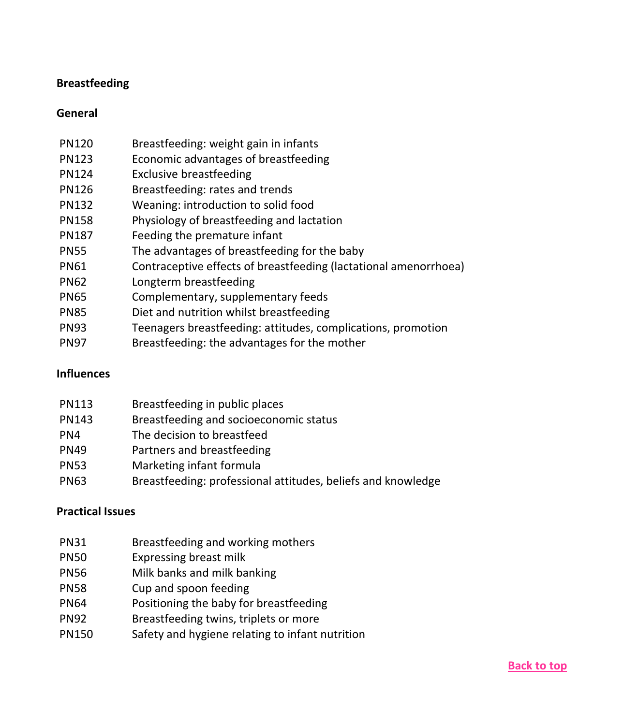## <span id="page-2-0"></span>**Breastfeeding**

### <span id="page-2-1"></span>**General**

| <b>PN120</b> | Breastfeeding: weight gain in infants                            |
|--------------|------------------------------------------------------------------|
| <b>PN123</b> | Economic advantages of breastfeeding                             |
| <b>PN124</b> | <b>Exclusive breastfeeding</b>                                   |
| <b>PN126</b> | Breastfeeding: rates and trends                                  |
| <b>PN132</b> | Weaning: introduction to solid food                              |
| <b>PN158</b> | Physiology of breastfeeding and lactation                        |
| <b>PN187</b> | Feeding the premature infant                                     |
| <b>PN55</b>  | The advantages of breastfeeding for the baby                     |
| <b>PN61</b>  | Contraceptive effects of breastfeeding (lactational amenorrhoea) |
| <b>PN62</b>  | Longterm breastfeeding                                           |
| <b>PN65</b>  | Complementary, supplementary feeds                               |
| <b>PN85</b>  | Diet and nutrition whilst breastfeeding                          |
| <b>PN93</b>  | Teenagers breastfeeding: attitudes, complications, promotion     |
| <b>PN97</b>  | Breastfeeding: the advantages for the mother                     |

## <span id="page-2-2"></span>**Influences**

| <b>PN113</b> | Breastfeeding in public places                               |
|--------------|--------------------------------------------------------------|
| <b>PN143</b> | Breastfeeding and socioeconomic status                       |
| PN4          | The decision to breastfeed                                   |
| <b>PN49</b>  | Partners and breastfeeding                                   |
| <b>PN53</b>  | Marketing infant formula                                     |
| <b>PN63</b>  | Breastfeeding: professional attitudes, beliefs and knowledge |

#### <span id="page-2-3"></span>**Practical Issues**

- PN31 Breastfeeding and working mothers
- PN50 Expressing breast milk
- PN56 Milk banks and milk banking
- PN58 Cup and spoon feeding
- PN64 Positioning the baby for breastfeeding
- PN92 Breastfeeding twins, triplets or more
- PN150 Safety and hygiene relating to infant nutrition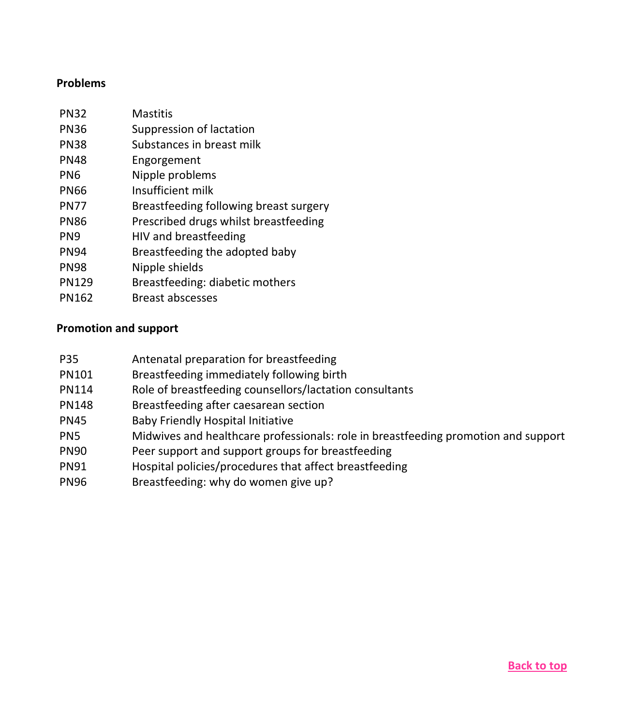#### <span id="page-3-0"></span>**Problems**

| <b>PN32</b>  | Mastitis                               |
|--------------|----------------------------------------|
| <b>PN36</b>  | Suppression of lactation               |
| <b>PN38</b>  | Substances in breast milk              |
| <b>PN48</b>  | Engorgement                            |
| PN6          | Nipple problems                        |
| PN66         | Insufficient milk                      |
| <b>PN77</b>  | Breastfeeding following breast surgery |
| <b>PN86</b>  | Prescribed drugs whilst breastfeeding  |
| PN9          | HIV and breastfeeding                  |
| <b>PN94</b>  | Breastfeeding the adopted baby         |
| <b>PN98</b>  | Nipple shields                         |
| <b>PN129</b> | Breastfeeding: diabetic mothers        |
| PN162        | <b>Breast abscesses</b>                |

### <span id="page-3-1"></span>**Promotion and support**

- P35 Antenatal preparation for breastfeeding
- PN101 Breastfeeding immediately following birth
- PN114 Role of breastfeeding counsellors/lactation consultants
- PN148 Breastfeeding after caesarean section
- PN45 Baby Friendly Hospital Initiative
- PN5 Midwives and healthcare professionals: role in breastfeeding promotion and support
- PN90 Peer support and support groups for breastfeeding
- PN91 Hospital policies/procedures that affect breastfeeding
- PN96 Breastfeeding: why do women give up?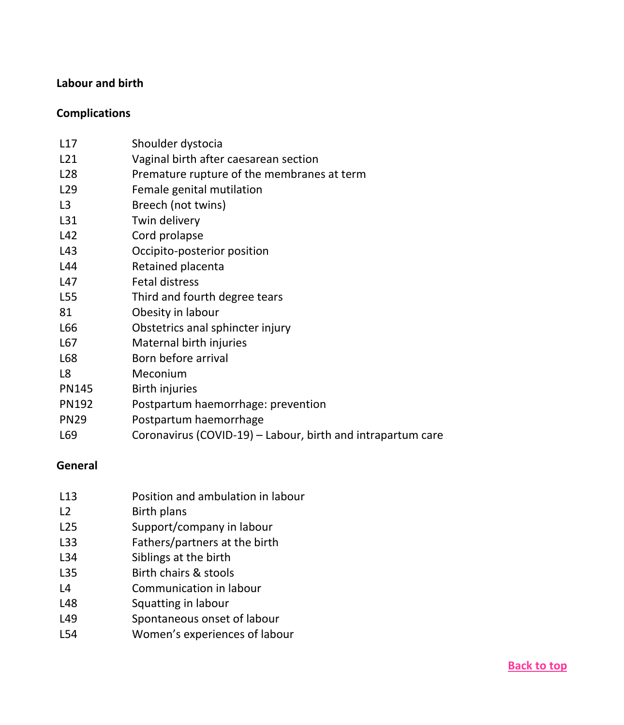## <span id="page-4-0"></span>**Labour and birth**

## <span id="page-4-1"></span>**Complications**

| L17             | Shoulder dystocia                                           |
|-----------------|-------------------------------------------------------------|
| L21             | Vaginal birth after caesarean section                       |
| L28             | Premature rupture of the membranes at term                  |
| L <sub>29</sub> | Female genital mutilation                                   |
| L3              | Breech (not twins)                                          |
| L31             | Twin delivery                                               |
| L42             | Cord prolapse                                               |
| L43             | Occipito-posterior position                                 |
| L44             | Retained placenta                                           |
| L47             | Fetal distress                                              |
| L55             | Third and fourth degree tears                               |
| 81              | Obesity in labour                                           |
| L66             | Obstetrics anal sphincter injury                            |
| L67             | Maternal birth injuries                                     |
| L68             | Born before arrival                                         |
| L8              | Meconium                                                    |
| PN145           | Birth injuries                                              |
| PN192           | Postpartum haemorrhage: prevention                          |
| <b>PN29</b>     | Postpartum haemorrhage                                      |
| L69             | Coronavirus (COVID-19) – Labour, birth and intrapartum care |

## <span id="page-4-2"></span>**General**

| L13                 | Position and ambulation in labour |
|---------------------|-----------------------------------|
| L <sub>2</sub>      | <b>Birth plans</b>                |
| L <sub>25</sub>     | Support/company in labour         |
| L33                 | Fathers/partners at the birth     |
| L34                 | Siblings at the birth             |
| L35                 | Birth chairs & stools             |
| $\lfloor 4 \rfloor$ | Communication in labour           |
| L48                 | Squatting in labour               |
| L49                 | Spontaneous onset of labour       |
|                     |                                   |

L54 Women's experiences of labour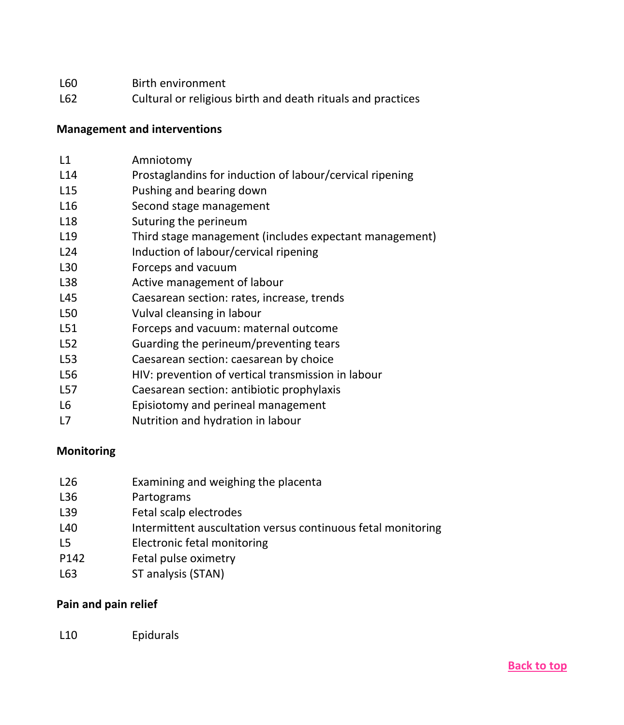- L60 Birth environment
- L62 Cultural or religious birth and death rituals and practices

## <span id="page-5-0"></span>**Management and interventions**

| L1              | Amniotomy                                                |
|-----------------|----------------------------------------------------------|
| L14             | Prostaglandins for induction of labour/cervical ripening |
| L <sub>15</sub> | Pushing and bearing down                                 |
| L <sub>16</sub> | Second stage management                                  |
| L <sub>18</sub> | Suturing the perineum                                    |
| L <sub>19</sub> | Third stage management (includes expectant management)   |
| L24             | Induction of labour/cervical ripening                    |
| L30             | Forceps and vacuum                                       |
| L38             | Active management of labour                              |
| L45             | Caesarean section: rates, increase, trends               |
| L <sub>50</sub> | Vulval cleansing in labour                               |
| L51             | Forceps and vacuum: maternal outcome                     |
| L <sub>52</sub> | Guarding the perineum/preventing tears                   |
| L53             | Caesarean section: caesarean by choice                   |
| L56             | HIV: prevention of vertical transmission in labour       |
| L57             | Caesarean section: antibiotic prophylaxis                |

- L6 Episiotomy and perineal management
- L7 Nutrition and hydration in labour

## <span id="page-5-1"></span>**Monitoring**

| L26  | Examining and weighing the placenta                          |
|------|--------------------------------------------------------------|
| L36  | Partograms                                                   |
| L39  | Fetal scalp electrodes                                       |
| L40  | Intermittent auscultation versus continuous fetal monitoring |
| L5   | Electronic fetal monitoring                                  |
| P142 | Fetal pulse oximetry                                         |
| L63  | ST analysis (STAN)                                           |

## <span id="page-5-2"></span>**Pain and pain relief**

## L10 Epidurals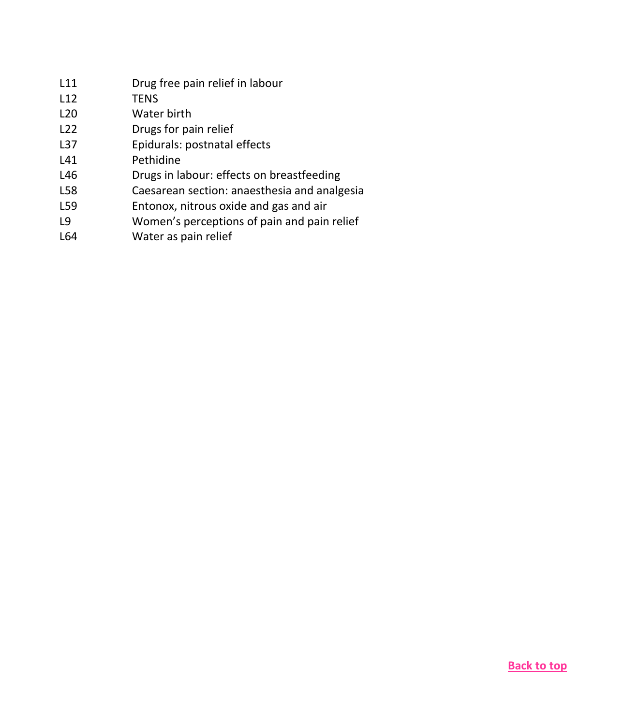<span id="page-6-0"></span>

| L11             | Drug free pain relief in labour              |
|-----------------|----------------------------------------------|
| L12             | <b>TENS</b>                                  |
| L <sub>20</sub> | Water birth                                  |
| L <sub>22</sub> | Drugs for pain relief                        |
| L37             | Epidurals: postnatal effects                 |
| L41             | Pethidine                                    |
| L46             | Drugs in labour: effects on breastfeeding    |
| L58             | Caesarean section: anaesthesia and analgesia |
| L59             | Entonox, nitrous oxide and gas and air       |
| 9               | Women's perceptions of pain and pain relief  |
| L64             | Water as pain relief                         |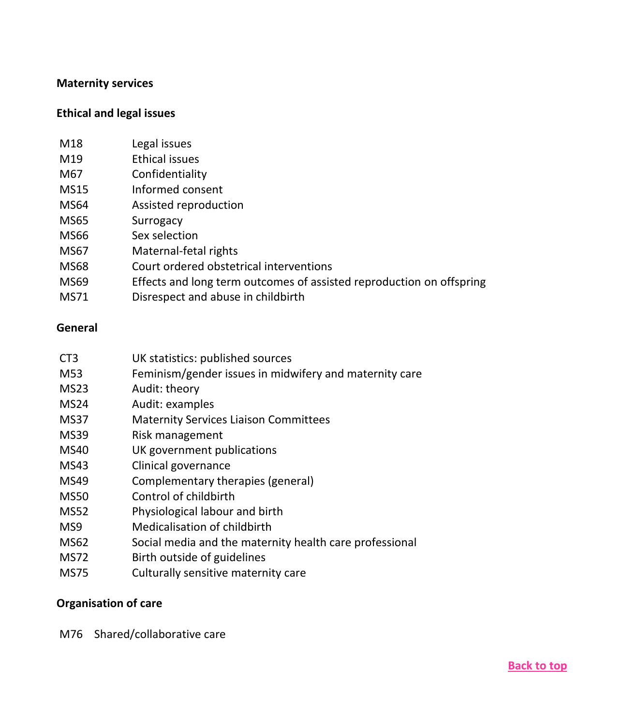### **Maternity services**

#### <span id="page-7-0"></span>**Ethical and legal issues**

| M18         | Legal issues                                                         |
|-------------|----------------------------------------------------------------------|
| M19         | Ethical issues                                                       |
| M67         | Confidentiality                                                      |
| <b>MS15</b> | Informed consent                                                     |
| <b>MS64</b> | Assisted reproduction                                                |
| <b>MS65</b> | Surrogacy                                                            |
| <b>MS66</b> | Sex selection                                                        |
| <b>MS67</b> | Maternal-fetal rights                                                |
| <b>MS68</b> | Court ordered obstetrical interventions                              |
| <b>MS69</b> | Effects and long term outcomes of assisted reproduction on offspring |
| MS71        | Disrespect and abuse in childbirth                                   |

#### <span id="page-7-1"></span>**General**

| CT <sub>3</sub> | UK statistics: published sources |
|-----------------|----------------------------------|
|-----------------|----------------------------------|

- M53 Feminism/gender issues in midwifery and maternity care
- MS23 Audit: theory
- MS24 Audit: examples
- MS37 Maternity Services Liaison Committees
- MS39 Risk management
- MS40 UK government publications
- MS43 Clinical governance
- MS49 Complementary therapies (general)
- MS50 Control of childbirth
- MS52 Physiological labour and birth
- MS9 Medicalisation of childbirth
- MS62 Social media and the maternity health care professional
- MS72 Birth outside of guidelines
- MS75 Culturally sensitive maternity care

## <span id="page-7-2"></span>**Organisation of care**

M76 Shared/collaborative care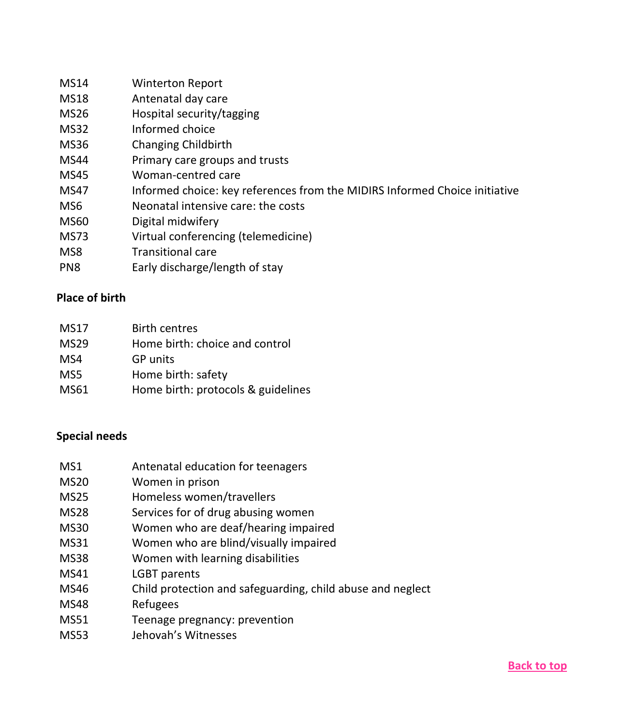| MS14        | <b>Winterton Report</b>                                                    |
|-------------|----------------------------------------------------------------------------|
| <b>MS18</b> | Antenatal day care                                                         |
| <b>MS26</b> | Hospital security/tagging                                                  |
| <b>MS32</b> | Informed choice                                                            |
| <b>MS36</b> | Changing Childbirth                                                        |
| <b>MS44</b> | Primary care groups and trusts                                             |
| <b>MS45</b> | Woman-centred care                                                         |
| <b>MS47</b> | Informed choice: key references from the MIDIRS Informed Choice initiative |
| MS6         | Neonatal intensive care: the costs                                         |
| <b>MS60</b> | Digital midwifery                                                          |
| MS73        | Virtual conferencing (telemedicine)                                        |
| MS8         | <b>Transitional care</b>                                                   |
| <b></b>     | — III <i>I</i> I <i>I</i> I II <i>C</i>                                    |

PN8 Early discharge/length of stay

## <span id="page-8-0"></span>**Place of birth**

| MS17        | <b>Birth centres</b>               |
|-------------|------------------------------------|
| <b>MS29</b> | Home birth: choice and control     |
| MS4         | <b>GP</b> units                    |
| MS5         | Home birth: safety                 |
| MS61        | Home birth: protocols & guidelines |

## <span id="page-8-1"></span>**Special needs**

- MS1 Antenatal education for teenagers
- MS20 Women in prison
- MS25 Homeless women/travellers
- MS28 Services for of drug abusing women
- MS30 Women who are deaf/hearing impaired
- MS31 Women who are blind/visually impaired
- MS38 Women with learning disabilities
- MS41 LGBT parents
- MS46 Child protection and safeguarding, child abuse and neglect
- MS48 Refugees
- MS51 Teenage pregnancy: prevention
- MS53 Jehovah's Witnesses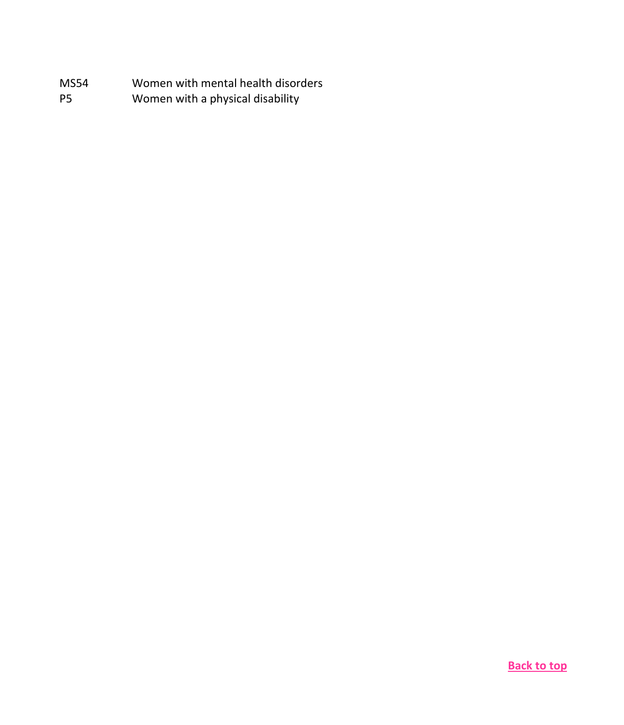<span id="page-9-0"></span>

| MS54      | Women with mental health disorders |
|-----------|------------------------------------|
| <b>P5</b> | Women with a physical disability   |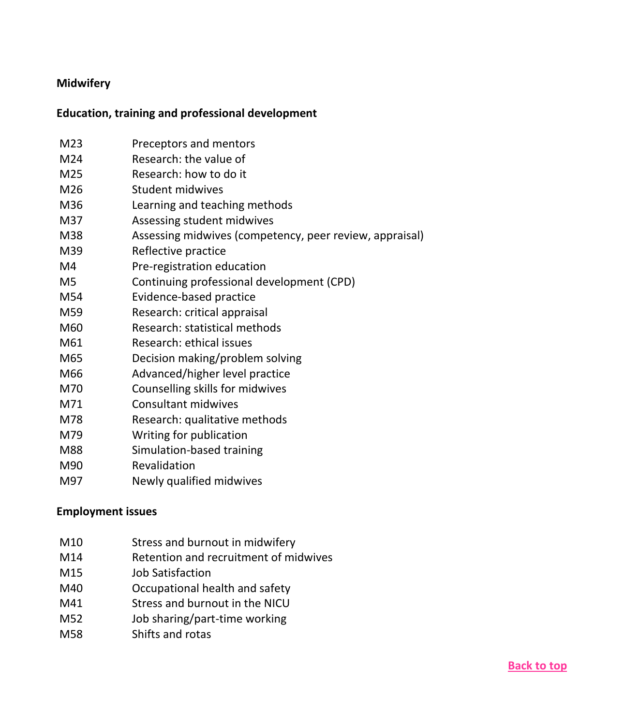## **Midwifery**

## <span id="page-10-0"></span>**Education, training and professional development**

| M23 | Preceptors and mentors                                  |
|-----|---------------------------------------------------------|
| M24 | Research: the value of                                  |
| M25 | Research: how to do it                                  |
| M26 | Student midwives                                        |
| M36 | Learning and teaching methods                           |
| M37 | Assessing student midwives                              |
| M38 | Assessing midwives (competency, peer review, appraisal) |
| M39 | Reflective practice                                     |
| M4  | Pre-registration education                              |
| M5  | Continuing professional development (CPD)               |
| M54 | Evidence-based practice                                 |
| M59 | Research: critical appraisal                            |
| M60 | Research: statistical methods                           |
| M61 | Research: ethical issues                                |
| M65 | Decision making/problem solving                         |
| M66 | Advanced/higher level practice                          |
| M70 | Counselling skills for midwives                         |
| M71 | Consultant midwives                                     |
| M78 | Research: qualitative methods                           |
| M79 | Writing for publication                                 |
| M88 | Simulation-based training                               |
| M90 | Revalidation                                            |
| M97 | Newly qualified midwives                                |

## <span id="page-10-1"></span>**Employment issues**

- M10 Stress and burnout in midwifery
- M14 Retention and recruitment of midwives
- M15 Job Satisfaction
- M40 Occupational health and safety
- M41 Stress and burnout in the NICU
- M52 Job sharing/part-time working
- M58 Shifts and rotas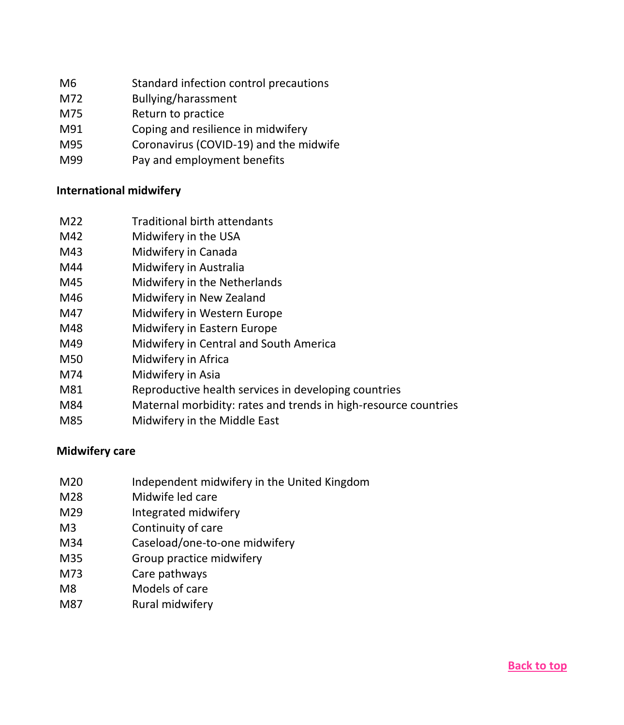- M6 Standard infection control precautions
- M72 Bullying/harassment
- M75 Return to practice
- M91 Coping and resilience in midwifery
- M95 Coronavirus (COVID-19) and the midwife
- M99 Pay and employment benefits

## <span id="page-11-0"></span>**International midwifery**

- M22 Traditional birth attendants
- M42 Midwifery in the USA
- M43 Midwifery in Canada
- M44 Midwifery in Australia
- M45 Midwifery in the Netherlands
- M46 Midwifery in New Zealand
- M47 Midwifery in Western Europe
- M48 Midwifery in Eastern Europe
- M49 Midwifery in Central and South America
- M50 Midwifery in Africa
- M74 Midwifery in Asia
- M81 Reproductive health services in developing countries
- M84 Maternal morbidity: rates and trends in high-resource countries
- M85 Midwifery in the Middle East

## <span id="page-11-1"></span>**Midwifery care**

- M20 Independent midwifery in the United Kingdom
- M28 Midwife led care
- M29 Integrated midwifery
- M3 Continuity of care
- M34 Caseload/one-to-one midwifery
- M35 Group practice midwifery
- M73 Care pathways
- M8 Models of care
- M87 Rural midwifery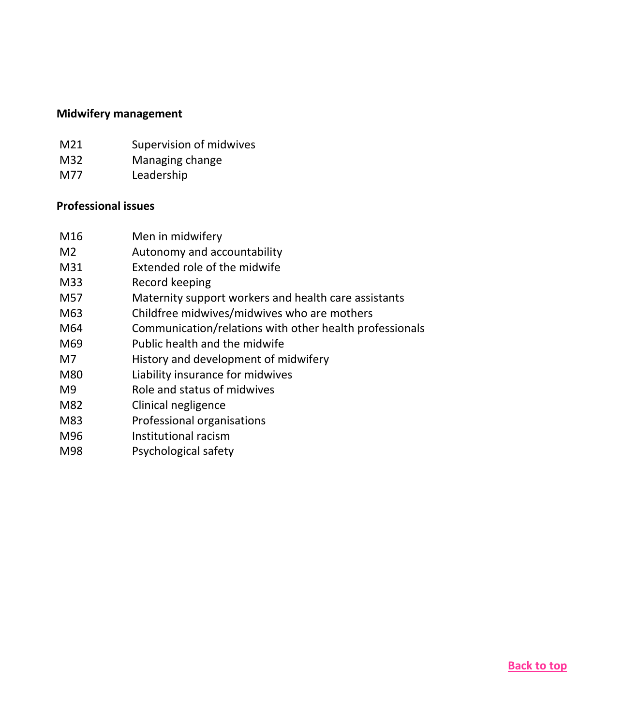#### <span id="page-12-0"></span>**Midwifery management**

- M21 Supervision of midwives
- M32 Managing change
- M77 Leadership

#### <span id="page-12-1"></span>**Professional issues**

- M16 Men in midwifery
- M2 Autonomy and accountability
- M31 Extended role of the midwife
- M33 Record keeping
- M57 Maternity support workers and health care assistants
- M63 Childfree midwives/midwives who are mothers
- M64 Communication/relations with other health professionals
- M69 Public health and the midwife
- M7 History and development of midwifery
- M80 Liability insurance for midwives
- M9 Role and status of midwives
- M82 Clinical negligence
- M83 Professional organisations
- M96 Institutional racism
- <span id="page-12-2"></span>M98 Psychological safety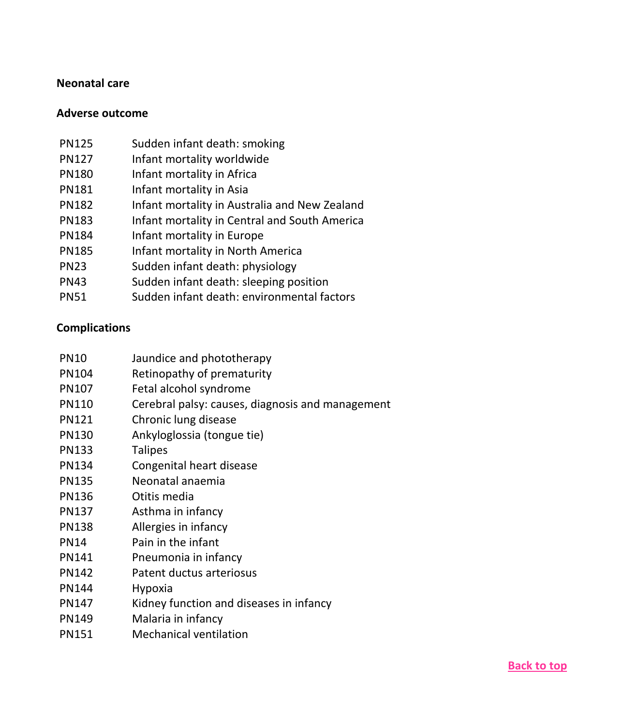## **Neonatal care**

## <span id="page-13-0"></span>**Adverse outcome**

| <b>PN125</b> | Sudden infant death: smoking                  |
|--------------|-----------------------------------------------|
| <b>PN127</b> | Infant mortality worldwide                    |
| <b>PN180</b> | Infant mortality in Africa                    |
| <b>PN181</b> | Infant mortality in Asia                      |
| <b>PN182</b> | Infant mortality in Australia and New Zealand |
| <b>PN183</b> | Infant mortality in Central and South America |
| <b>PN184</b> | Infant mortality in Europe                    |
| <b>PN185</b> | Infant mortality in North America             |
| <b>PN23</b>  | Sudden infant death: physiology               |
| <b>PN43</b>  | Sudden infant death: sleeping position        |
| <b>PN51</b>  | Sudden infant death: environmental factors    |

## <span id="page-13-1"></span>**Complications**

| <b>PN10</b>  | Jaundice and phototherapy                        |
|--------------|--------------------------------------------------|
| PN104        | Retinopathy of prematurity                       |
| PN107        | Fetal alcohol syndrome                           |
| <b>PN110</b> | Cerebral palsy: causes, diagnosis and management |
| <b>PN121</b> | Chronic lung disease                             |
| <b>PN130</b> | Ankyloglossia (tongue tie)                       |
| PN133        | <b>Talipes</b>                                   |
| PN134        | Congenital heart disease                         |
| <b>PN135</b> | Neonatal anaemia                                 |
| <b>PN136</b> | Otitis media                                     |
| PN137        | Asthma in infancy                                |
| <b>PN138</b> | Allergies in infancy                             |
| <b>PN14</b>  | Pain in the infant                               |
| PN141        | Pneumonia in infancy                             |
| <b>PN142</b> | Patent ductus arteriosus                         |
| <b>PN144</b> | Hypoxia                                          |
| PN147        | Kidney function and diseases in infancy          |
| PN149        | Malaria in infancy                               |
| PN151        | <b>Mechanical ventilation</b>                    |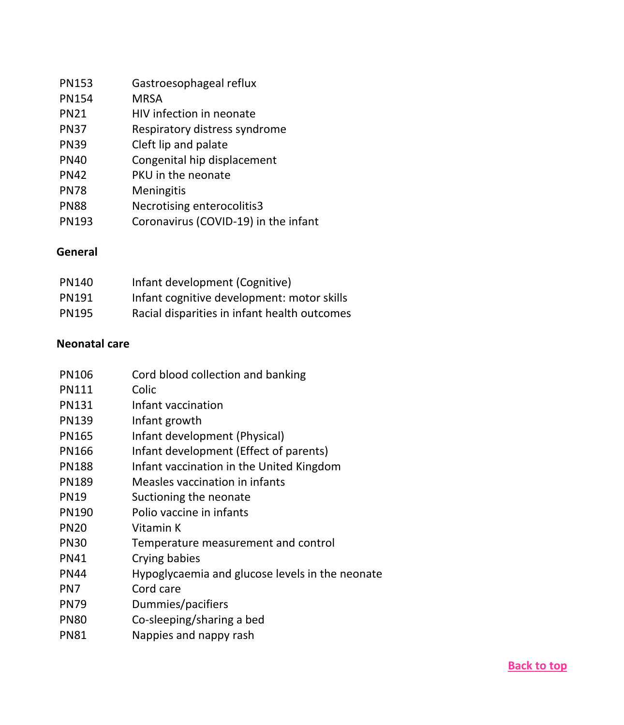| <b>PN153</b> | Gastroesophageal reflux              |
|--------------|--------------------------------------|
| <b>PN154</b> | <b>MRSA</b>                          |
| <b>PN21</b>  | HIV infection in neonate             |
| <b>PN37</b>  | Respiratory distress syndrome        |
| <b>PN39</b>  | Cleft lip and palate                 |
| <b>PN40</b>  | Congenital hip displacement          |
| <b>PN42</b>  | PKU in the neonate                   |
| <b>PN78</b>  | Meningitis                           |
| <b>PN88</b>  | Necrotising enterocolitis3           |
| <b>PN193</b> | Coronavirus (COVID-19) in the infant |

## <span id="page-14-0"></span>**General**

| <b>PN140</b> | Infant development (Cognitive)               |
|--------------|----------------------------------------------|
| <b>PN191</b> | Infant cognitive development: motor skills   |
| <b>PN195</b> | Racial disparities in infant health outcomes |

## <span id="page-14-1"></span>**Neonatal care**

| PN106        | Cord blood collection and banking               |
|--------------|-------------------------------------------------|
| <b>PN111</b> | Colic                                           |
| PN131        | Infant vaccination                              |
| <b>PN139</b> | Infant growth                                   |
| PN165        | Infant development (Physical)                   |
| <b>PN166</b> | Infant development (Effect of parents)          |
| <b>PN188</b> | Infant vaccination in the United Kingdom        |
| <b>PN189</b> | Measles vaccination in infants                  |
| <b>PN19</b>  | Suctioning the neonate                          |
| <b>PN190</b> | Polio vaccine in infants                        |
| <b>PN20</b>  | Vitamin K                                       |
| <b>PN30</b>  | Temperature measurement and control             |
| <b>PN41</b>  | Crying babies                                   |
| <b>PN44</b>  | Hypoglycaemia and glucose levels in the neonate |
| PN7          | Cord care                                       |
| <b>PN79</b>  | Dummies/pacifiers                               |
| <b>PN80</b>  | Co-sleeping/sharing a bed                       |
| <b>PN81</b>  | Nappies and nappy rash                          |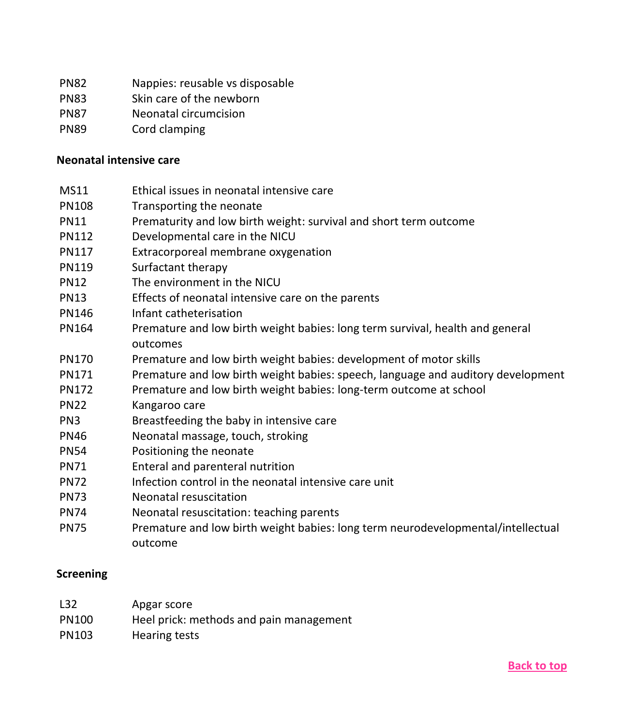- PN82 Nappies: reusable vs disposable
- PN83 Skin care of the newborn
- PN87 Neonatal circumcision
- PN89 Cord clamping

#### <span id="page-15-0"></span>**Neonatal intensive care**

- MS11 Ethical issues in neonatal intensive care
- PN108 Transporting the neonate
- PN11 Prematurity and low birth weight: survival and short term outcome
- PN112 Developmental care in the NICU
- PN117 Extracorporeal membrane oxygenation
- PN119 Surfactant therapy
- PN12 The environment in the NICU
- PN13 Effects of neonatal intensive care on the parents
- PN146 Infant catheterisation
- PN164 Premature and low birth weight babies: long term survival, health and general outcomes
- PN170 Premature and low birth weight babies: development of motor skills
- PN171 Premature and low birth weight babies: speech, language and auditory development
- PN172 Premature and low birth weight babies: long-term outcome at school
- PN22 Kangaroo care
- PN3 Breastfeeding the baby in intensive care
- PN46 Neonatal massage, touch, stroking
- PN54 Positioning the neonate
- PN71 Enteral and parenteral nutrition
- PN72 Infection control in the neonatal intensive care unit
- PN73 Neonatal resuscitation
- PN74 Neonatal resuscitation: teaching parents
- PN75 Premature and low birth weight babies: long term neurodevelopmental/intellectual outcome

#### <span id="page-15-1"></span>**Screening**

| L32          | Apgar score                             |
|--------------|-----------------------------------------|
| <b>PN100</b> | Heel prick: methods and pain management |
| PN103        | Hearing tests                           |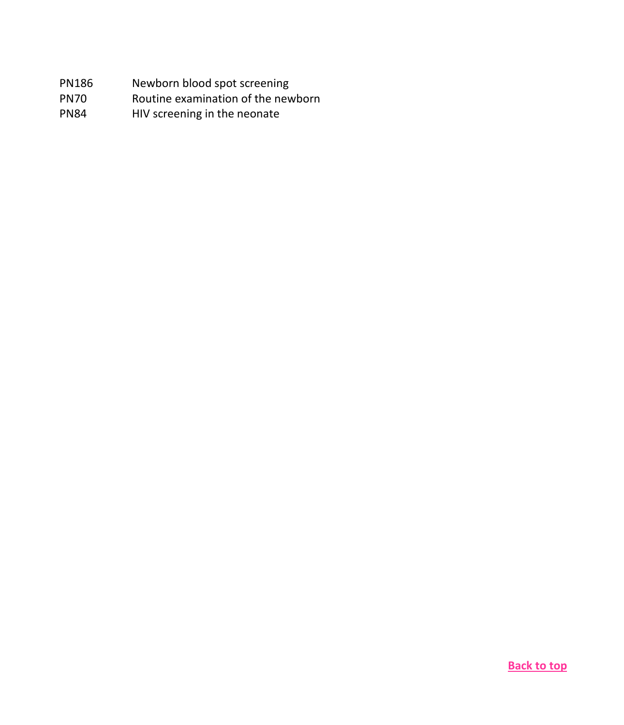- PN186 Newborn blood spot screening
- PN70 Routine examination of the newborn
- <span id="page-16-0"></span>PN84 HIV screening in the neonate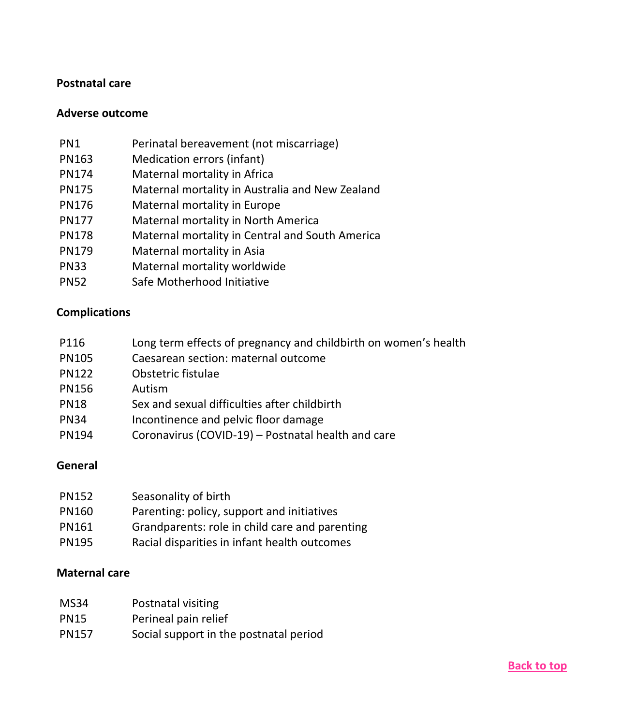#### **Postnatal care**

#### <span id="page-17-0"></span>**Adverse outcome**

- PN1 Perinatal bereavement (not miscarriage)
- PN163 Medication errors (infant)
- PN174 Maternal mortality in Africa
- PN175 Maternal mortality in Australia and New Zealand
- PN176 Maternal mortality in Europe
- PN177 Maternal mortality in North America
- PN178 Maternal mortality in Central and South America
- PN179 Maternal mortality in Asia
- PN33 Maternal mortality worldwide
- PN52 Safe Motherhood Initiative

#### <span id="page-17-1"></span>**Complications**

- P116 Long term effects of pregnancy and childbirth on women's health
- PN105 Caesarean section: maternal outcome
- PN122 Obstetric fistulae
- PN156 Autism
- PN18 Sex and sexual difficulties after childbirth
- PN34 Incontinence and pelvic floor damage
- PN194 Coronavirus (COVID-19) Postnatal health and care

#### <span id="page-17-2"></span>**General**

| <b>PN152</b> | Seasonality of birth                           |
|--------------|------------------------------------------------|
| <b>PN160</b> | Parenting: policy, support and initiatives     |
| PN161        | Grandparents: role in child care and parenting |
| <b>PN195</b> | Racial disparities in infant health outcomes   |

#### <span id="page-17-3"></span>**Maternal care**

| <b>MS34</b>  | Postnatal visiting                     |
|--------------|----------------------------------------|
| <b>PN15</b>  | Perineal pain relief                   |
| <b>PN157</b> | Social support in the postnatal period |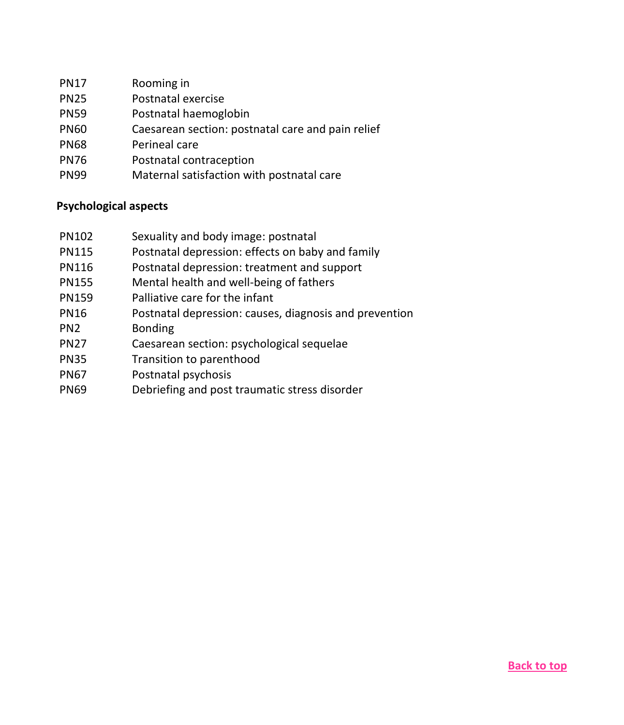| PN17 | Rooming in |
|------|------------|
|------|------------|

- PN25 Postnatal exercise
- PN59 Postnatal haemoglobin
- PN60 Caesarean section: postnatal care and pain relief
- PN68 Perineal care
- PN76 Postnatal contraception
- PN99 Maternal satisfaction with postnatal care

### <span id="page-18-0"></span>**Psychological aspects**

- PN102 Sexuality and body image: postnatal
- PN115 Postnatal depression: effects on baby and family
- PN116 Postnatal depression: treatment and support
- PN155 Mental health and well-being of fathers
- PN159 Palliative care for the infant
- PN16 Postnatal depression: causes, diagnosis and prevention
- PN2 Bonding
- PN27 Caesarean section: psychological sequelae
- PN35 Transition to parenthood
- PN67 Postnatal psychosis
- <span id="page-18-1"></span>PN69 Debriefing and post traumatic stress disorder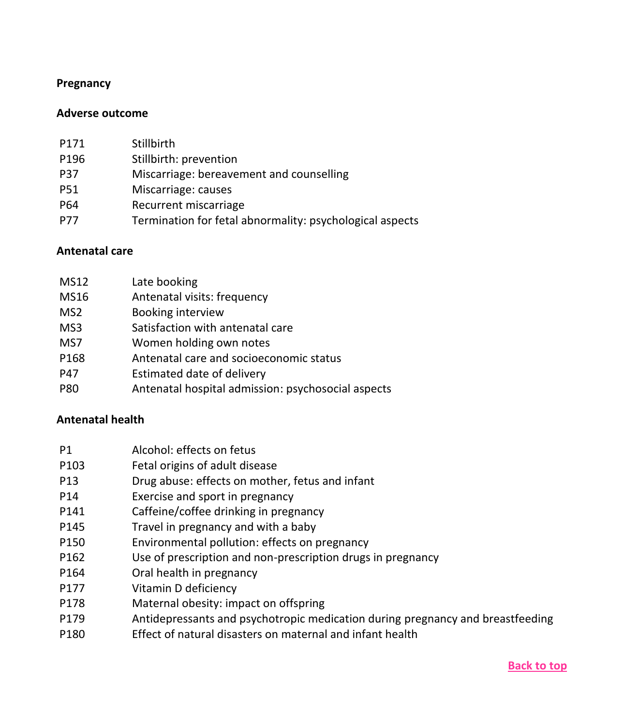#### **Pregnancy**

#### <span id="page-19-0"></span>**Adverse outcome**

| P171       | Stillbirth                                               |
|------------|----------------------------------------------------------|
| P196       | Stillbirth: prevention                                   |
| <b>P37</b> | Miscarriage: bereavement and counselling                 |
| <b>P51</b> | Miscarriage: causes                                      |
| P64        | Recurrent miscarriage                                    |
| <b>P77</b> | Termination for fetal abnormality: psychological aspects |
|            |                                                          |

#### <span id="page-19-1"></span>**Antenatal care**

| <b>MS12</b>     | Late booking                                       |
|-----------------|----------------------------------------------------|
| MS16            | Antenatal visits: frequency                        |
| MS <sub>2</sub> | Booking interview                                  |
| MS3             | Satisfaction with antenatal care                   |
| MS7             | Women holding own notes                            |
| P168            | Antenatal care and socioeconomic status            |
| P47             | Estimated date of delivery                         |
| P80             | Antenatal hospital admission: psychosocial aspects |

#### <span id="page-19-2"></span>**Antenatal health**

- P103 Fetal origins of adult disease
- P13 Drug abuse: effects on mother, fetus and infant
- P14 Exercise and sport in pregnancy
- P141 Caffeine/coffee drinking in pregnancy
- P145 Travel in pregnancy and with a baby
- P150 Environmental pollution: effects on pregnancy
- P162 Use of prescription and non-prescription drugs in pregnancy
- P164 Oral health in pregnancy
- P177 Vitamin D deficiency
- P178 Maternal obesity: impact on offspring
- P179 Antidepressants and psychotropic medication during pregnancy and breastfeeding
- P180 Effect of natural disasters on maternal and infant health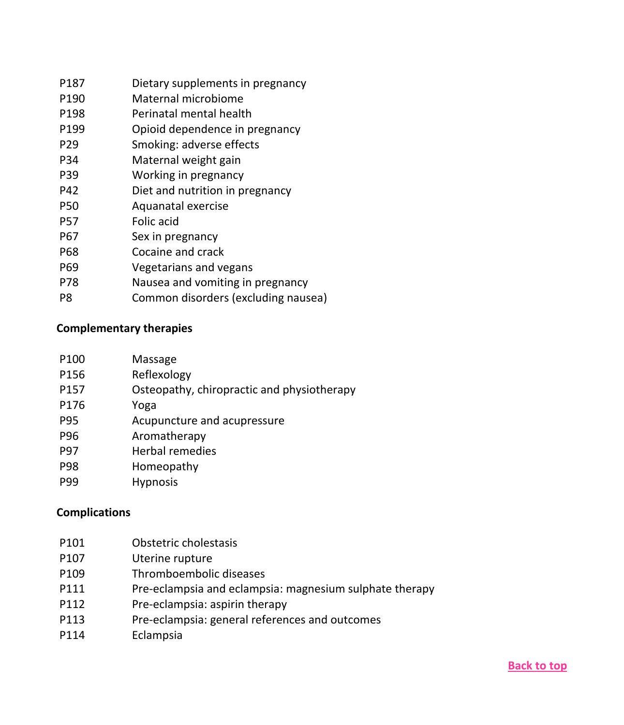| P187            | Dietary supplements in pregnancy    |
|-----------------|-------------------------------------|
| P190            | Maternal microbiome                 |
| P198            | Perinatal mental health             |
| P199            | Opioid dependence in pregnancy      |
| P <sub>29</sub> | Smoking: adverse effects            |
| P34             | Maternal weight gain                |
| P39             | Working in pregnancy                |
| P42             | Diet and nutrition in pregnancy     |
| P50             | Aquanatal exercise                  |
| P57             | Folic acid                          |
| P67             | Sex in pregnancy                    |
| P68             | Cocaine and crack                   |
| P69             | Vegetarians and vegans              |
| P78             | Nausea and vomiting in pregnancy    |
| P8              | Common disorders (excluding nausea) |

## <span id="page-20-0"></span>**Complementary therapies**

| P100       | Massage                                    |
|------------|--------------------------------------------|
| P156       | Reflexology                                |
| P157       | Osteopathy, chiropractic and physiotherapy |
| P176       | Yoga                                       |
| P95        | Acupuncture and acupressure                |
| P96        | Aromatherapy                               |
| <b>P97</b> | <b>Herbal remedies</b>                     |
| <b>P98</b> | Homeopathy                                 |
| ---        |                                            |

P99 Hypnosis

## <span id="page-20-1"></span>**Complications**

| Obstetric cholestasis<br>P <sub>101</sub> |  |
|-------------------------------------------|--|
|-------------------------------------------|--|

- P107 Uterine rupture
- P109 Thromboembolic diseases
- P111 Pre-eclampsia and eclampsia: magnesium sulphate therapy
- P112 Pre-eclampsia: aspirin therapy
- P113 Pre-eclampsia: general references and outcomes
- P114 Eclampsia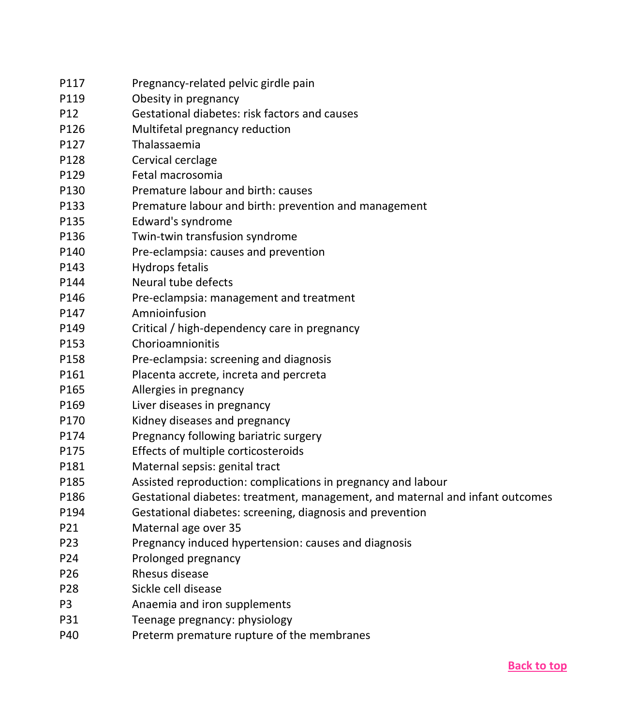| P117            | Pregnancy-related pelvic girdle pain                                          |
|-----------------|-------------------------------------------------------------------------------|
| P119            | Obesity in pregnancy                                                          |
| P12             | Gestational diabetes: risk factors and causes                                 |
| P126            | Multifetal pregnancy reduction                                                |
| P127            | Thalassaemia                                                                  |
| P128            | Cervical cerclage                                                             |
| P129            | Fetal macrosomia                                                              |
| P130            | Premature labour and birth: causes                                            |
| P133            | Premature labour and birth: prevention and management                         |
| P135            | Edward's syndrome                                                             |
| P136            | Twin-twin transfusion syndrome                                                |
| P140            | Pre-eclampsia: causes and prevention                                          |
| P143            | Hydrops fetalis                                                               |
| P144            | Neural tube defects                                                           |
| P146            | Pre-eclampsia: management and treatment                                       |
| P147            | Amnioinfusion                                                                 |
| P149            | Critical / high-dependency care in pregnancy                                  |
| P153            | Chorioamnionitis                                                              |
| P158            | Pre-eclampsia: screening and diagnosis                                        |
| P161            | Placenta accrete, increta and percreta                                        |
| P165            | Allergies in pregnancy                                                        |
| P169            | Liver diseases in pregnancy                                                   |
| P170            | Kidney diseases and pregnancy                                                 |
| P174            | Pregnancy following bariatric surgery                                         |
| P175            | Effects of multiple corticosteroids                                           |
| P181            | Maternal sepsis: genital tract                                                |
| P185            | Assisted reproduction: complications in pregnancy and labour                  |
| P186            | Gestational diabetes: treatment, management, and maternal and infant outcomes |
| P194            | Gestational diabetes: screening, diagnosis and prevention                     |
| P21             | Maternal age over 35                                                          |
| P23             | Pregnancy induced hypertension: causes and diagnosis                          |
| P24             | Prolonged pregnancy                                                           |
| P <sub>26</sub> | Rhesus disease                                                                |
| P28             | Sickle cell disease                                                           |
| P3              | Anaemia and iron supplements                                                  |
| P31             | Teenage pregnancy: physiology                                                 |
| P40             | Preterm premature rupture of the membranes                                    |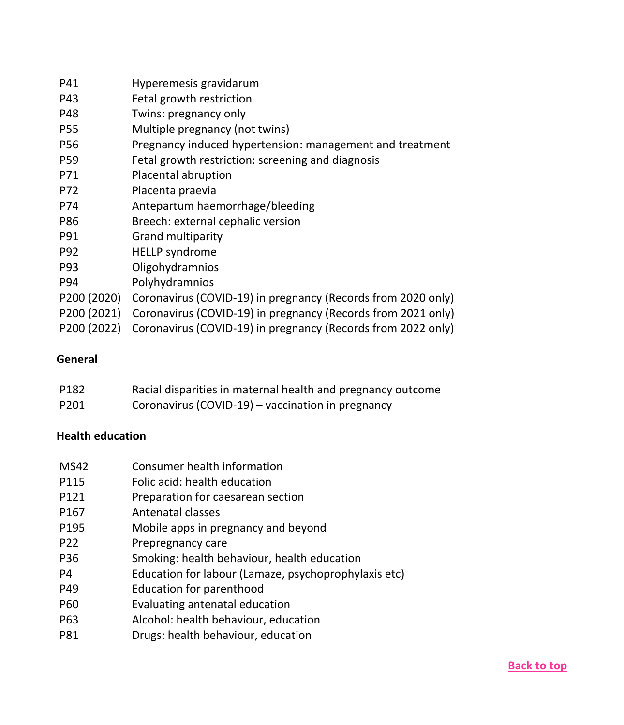| P41         | Hyperemesis gravidarum                                       |  |
|-------------|--------------------------------------------------------------|--|
| P43         | Fetal growth restriction                                     |  |
| P48         | Twins: pregnancy only                                        |  |
| P55         | Multiple pregnancy (not twins)                               |  |
| P56         | Pregnancy induced hypertension: management and treatment     |  |
| P59         | Fetal growth restriction: screening and diagnosis            |  |
| P71         | Placental abruption                                          |  |
| P72         | Placenta praevia                                             |  |
| P74         | Antepartum haemorrhage/bleeding                              |  |
| P86         | Breech: external cephalic version                            |  |
| P91         | Grand multiparity                                            |  |
| P92         | <b>HELLP</b> syndrome                                        |  |
| P93         | Oligohydramnios                                              |  |
| P94         | Polyhydramnios                                               |  |
| P200 (2020) | Coronavirus (COVID-19) in pregnancy (Records from 2020 only) |  |
| P200 (2021) | Coronavirus (COVID-19) in pregnancy (Records from 2021 only) |  |
| P200 (2022) | Coronavirus (COVID-19) in pregnancy (Records from 2022 only) |  |

## <span id="page-22-0"></span>**General**

| P182 | Racial disparities in maternal health and pregnancy outcome |
|------|-------------------------------------------------------------|
| P201 | Coronavirus (COVID-19) – vaccination in pregnancy           |

## <span id="page-22-1"></span>**Health education**

- MS42 Consumer health information
- P115 Folic acid: health education
- P121 Preparation for caesarean section
- P167 Antenatal classes
- P195 Mobile apps in pregnancy and beyond
- P22 Prepregnancy care
- P36 Smoking: health behaviour, health education
- P4 Education for labour (Lamaze, psychoprophylaxis etc)
- P49 Education for parenthood
- P60 Evaluating antenatal education
- P63 Alcohol: health behaviour, education
- P81 Drugs: health behaviour, education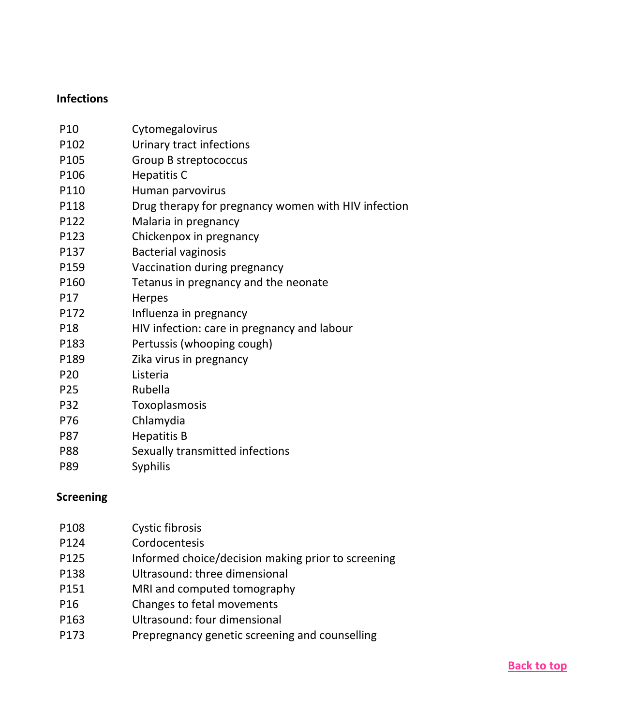## <span id="page-23-0"></span>**Infections**

| P <sub>10</sub> | Cytomegalovirus                                     |
|-----------------|-----------------------------------------------------|
| P102            | Urinary tract infections                            |
| P105            | Group B streptococcus                               |
| P106            | <b>Hepatitis C</b>                                  |
| P110            | Human parvovirus                                    |
| P118            | Drug therapy for pregnancy women with HIV infection |
| P122            | Malaria in pregnancy                                |
| P123            | Chickenpox in pregnancy                             |
| P137            | <b>Bacterial vaginosis</b>                          |
| P159            | Vaccination during pregnancy                        |
| P160            | Tetanus in pregnancy and the neonate                |
| P17             | Herpes                                              |
| P172            | Influenza in pregnancy                              |
| P18             | HIV infection: care in pregnancy and labour         |
| P183            | Pertussis (whooping cough)                          |
| P189            | Zika virus in pregnancy                             |
| P <sub>20</sub> | Listeria                                            |
| P <sub>25</sub> | Rubella                                             |
| P32             | Toxoplasmosis                                       |
| P76             | Chlamydia                                           |
| P87             | <b>Hepatitis B</b>                                  |
| P88             | Sexually transmitted infections                     |
| P89             | <b>Syphilis</b>                                     |
|                 |                                                     |

## <span id="page-23-1"></span>**Screening**

| P108            | Cystic fibrosis                                    |
|-----------------|----------------------------------------------------|
| P124            | Cordocentesis                                      |
| P125            | Informed choice/decision making prior to screening |
| P138            | Ultrasound: three dimensional                      |
| P151            | MRI and computed tomography                        |
| P <sub>16</sub> | Changes to fetal movements                         |
| P163            | Ultrasound: four dimensional                       |
| P173            | Prepregnancy genetic screening and counselling     |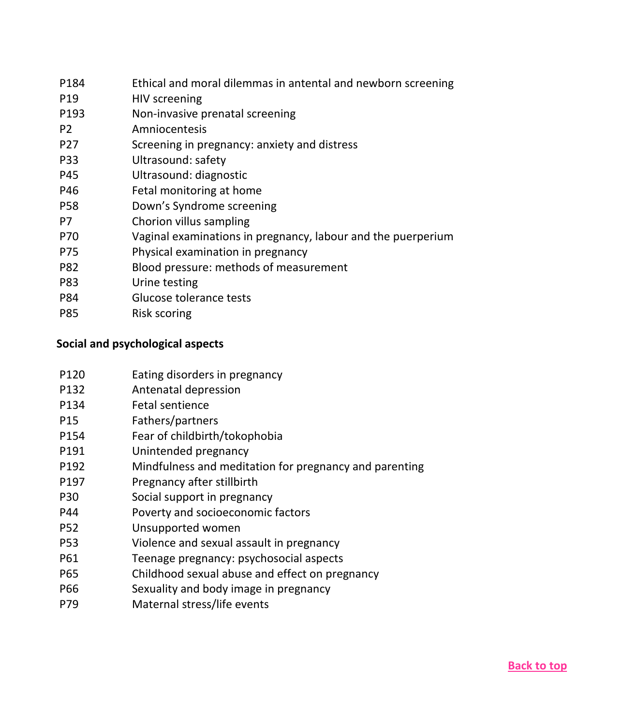| Ethical and moral dilemmas in antental and newborn screening |
|--------------------------------------------------------------|
| HIV screening                                                |
| Non-invasive prenatal screening                              |
| Amniocentesis                                                |
| Screening in pregnancy: anxiety and distress                 |
| Ultrasound: safety                                           |
| Ultrasound: diagnostic                                       |
| Fetal monitoring at home                                     |
| Down's Syndrome screening                                    |
| Chorion villus sampling                                      |
| Vaginal examinations in pregnancy, labour and the puerperium |
| Physical examination in pregnancy                            |
| Blood pressure: methods of measurement                       |
| Urine testing                                                |
| Glucose tolerance tests                                      |
| Risk scoring                                                 |
|                                                              |

## <span id="page-24-0"></span>**Social and psychological aspects**

- P120 Eating disorders in pregnancy
- P132 Antenatal depression
- P134 Fetal sentience
- P15 Fathers/partners
- P154 Fear of childbirth/tokophobia
- P191 Unintended pregnancy
- P192 Mindfulness and meditation for pregnancy and parenting
- P197 Pregnancy after stillbirth
- P30 Social support in pregnancy
- P44 Poverty and socioeconomic factors
- P52 Unsupported women
- P53 Violence and sexual assault in pregnancy
- P61 Teenage pregnancy: psychosocial aspects
- P65 Childhood sexual abuse and effect on pregnancy
- P66 Sexuality and body image in pregnancy
- P79 Maternal stress/life events